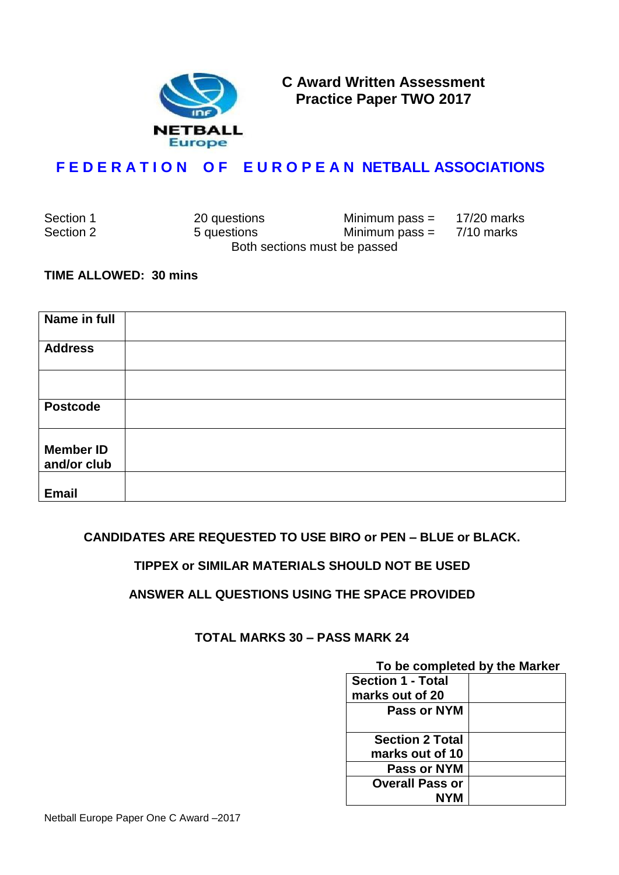

**C Award Written Assessment Practice Paper TWO 2017**

# **F E D E R A T I O N O F E U R O P E A N NETBALL ASSOCIATIONS**

| Section 1 | 20 questions | Minimum pass $=$             | 17/20 marks |
|-----------|--------------|------------------------------|-------------|
| Section 2 | 5 questions  | Minimum pass $=$             | 7/10 marks  |
|           |              | Both sections must be passed |             |

#### **TIME ALLOWED: 30 mins**

| Name in full                    |  |
|---------------------------------|--|
| <b>Address</b>                  |  |
|                                 |  |
| <b>Postcode</b>                 |  |
| <b>Member ID</b><br>and/or club |  |
| <b>Email</b>                    |  |

### **CANDIDATES ARE REQUESTED TO USE BIRO or PEN – BLUE or BLACK.**

### **TIPPEX or SIMILAR MATERIALS SHOULD NOT BE USED**

### **ANSWER ALL QUESTIONS USING THE SPACE PROVIDED**

### **TOTAL MARKS 30 – PASS MARK 24**

# **To be completed by the Marker**

| <b>Section 1 - Total</b> |  |
|--------------------------|--|
| marks out of 20          |  |
| Pass or NYM              |  |
| <b>Section 2 Total</b>   |  |
| marks out of 10          |  |
| Pass or NYM              |  |
| <b>Overall Pass or</b>   |  |
| NYM                      |  |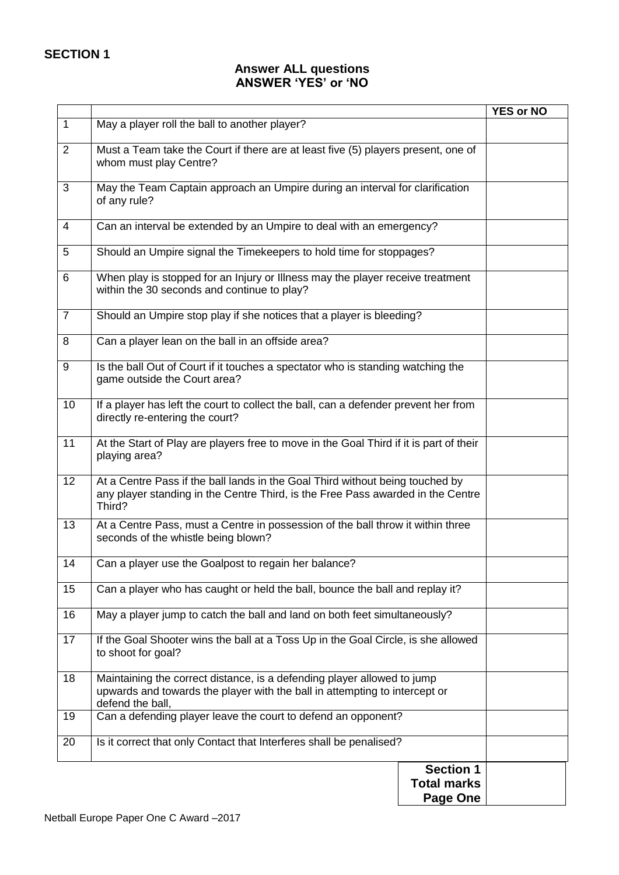### **Answer ALL questions ANSWER 'YES' or 'NO**

|                |                                                                                                                                                                            | <b>YES or NO</b> |
|----------------|----------------------------------------------------------------------------------------------------------------------------------------------------------------------------|------------------|
| $\mathbf{1}$   | May a player roll the ball to another player?                                                                                                                              |                  |
| $\overline{2}$ | Must a Team take the Court if there are at least five (5) players present, one of<br>whom must play Centre?                                                                |                  |
| 3              | May the Team Captain approach an Umpire during an interval for clarification<br>of any rule?                                                                               |                  |
| $\overline{4}$ | Can an interval be extended by an Umpire to deal with an emergency?                                                                                                        |                  |
| 5              | Should an Umpire signal the Timekeepers to hold time for stoppages?                                                                                                        |                  |
| 6              | When play is stopped for an Injury or Illness may the player receive treatment<br>within the 30 seconds and continue to play?                                              |                  |
| $\overline{7}$ | Should an Umpire stop play if she notices that a player is bleeding?                                                                                                       |                  |
| 8              | Can a player lean on the ball in an offside area?                                                                                                                          |                  |
| 9              | Is the ball Out of Court if it touches a spectator who is standing watching the<br>game outside the Court area?                                                            |                  |
| 10             | If a player has left the court to collect the ball, can a defender prevent her from<br>directly re-entering the court?                                                     |                  |
| 11             | At the Start of Play are players free to move in the Goal Third if it is part of their<br>playing area?                                                                    |                  |
| 12             | At a Centre Pass if the ball lands in the Goal Third without being touched by<br>any player standing in the Centre Third, is the Free Pass awarded in the Centre<br>Third? |                  |
| 13             | At a Centre Pass, must a Centre in possession of the ball throw it within three<br>seconds of the whistle being blown?                                                     |                  |
| 14             | Can a player use the Goalpost to regain her balance?                                                                                                                       |                  |
| 15             | Can a player who has caught or held the ball, bounce the ball and replay it?                                                                                               |                  |
| 16             | May a player jump to catch the ball and land on both feet simultaneously?                                                                                                  |                  |
| 17             | If the Goal Shooter wins the ball at a Toss Up in the Goal Circle, is she allowed<br>to shoot for goal?                                                                    |                  |
| 18             | Maintaining the correct distance, is a defending player allowed to jump<br>upwards and towards the player with the ball in attempting to intercept or<br>defend the ball,  |                  |
| 19             | Can a defending player leave the court to defend an opponent?                                                                                                              |                  |
| 20             | Is it correct that only Contact that Interferes shall be penalised?                                                                                                        |                  |
|                | <b>Section 1</b><br><b>Total marks</b><br>Page One                                                                                                                         |                  |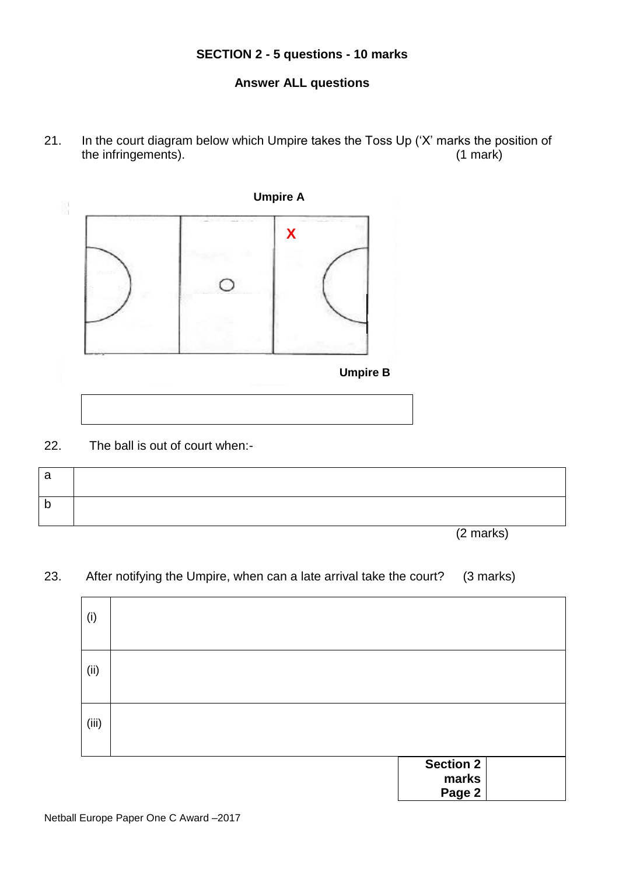# **SECTION 2 - 5 questions - 10 marks**

## **Answer ALL questions**

21. In the court diagram below which Umpire takes the Toss Up ('X' marks the position of the infringements). the infringements).



22. The ball is out of court when:-

| a            |           |
|--------------|-----------|
| $\mathsf{D}$ |           |
|              | (2 marks) |

### 23. After notifying the Umpire, when can a late arrival take the court? (3 marks)

| (i)   |                    |  |
|-------|--------------------|--|
| (ii)  |                    |  |
| (iii) |                    |  |
|       | Section 2<br>marks |  |

**Page 2**